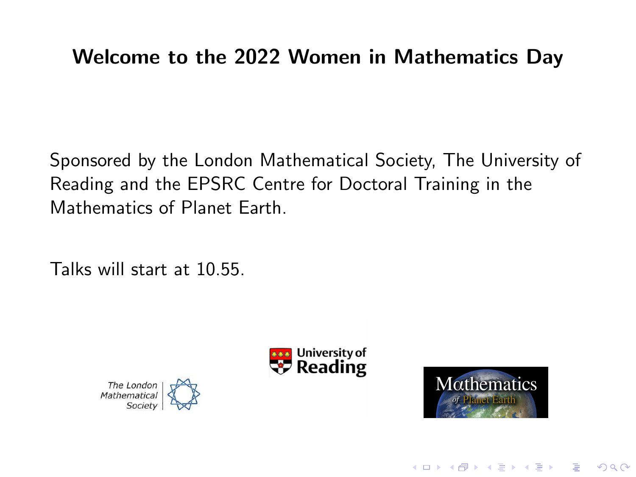## Welcome to the 2022 Women in Mathematics Day

Sponsored by the London Mathematical Society, The University of Reading and the EPSRC Centre for Doctoral Training in the Mathematics of Planet Earth.

Talks will start at 10.55.







**KORK EXTERNE PROVIDE**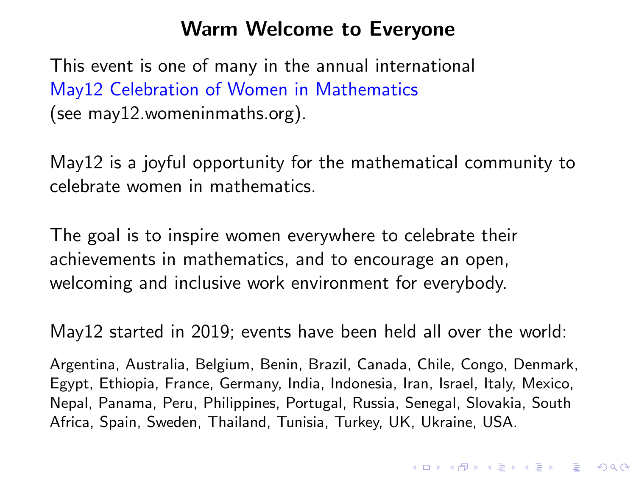### Warm Welcome to Everyone

This event is one of many in the annual international May12 Celebration of Women in Mathematics (see may12.womeninmaths.org).

May12 is a joyful opportunity for the mathematical community to celebrate women in mathematics.

The goal is to inspire women everywhere to celebrate their achievements in mathematics, and to encourage an open, welcoming and inclusive work environment for everybody.

May12 started in 2019; events have been held all over the world:

Argentina, Australia, Belgium, Benin, Brazil, Canada, Chile, Congo, Denmark, Egypt, Ethiopia, France, Germany, India, Indonesia, Iran, Israel, Italy, Mexico, Nepal, Panama, Peru, Philippines, Portugal, Russia, Senegal, Slovakia, South Africa, Spain, Sweden, Thailand, Tunisia, Turkey, UK, Ukraine, USA.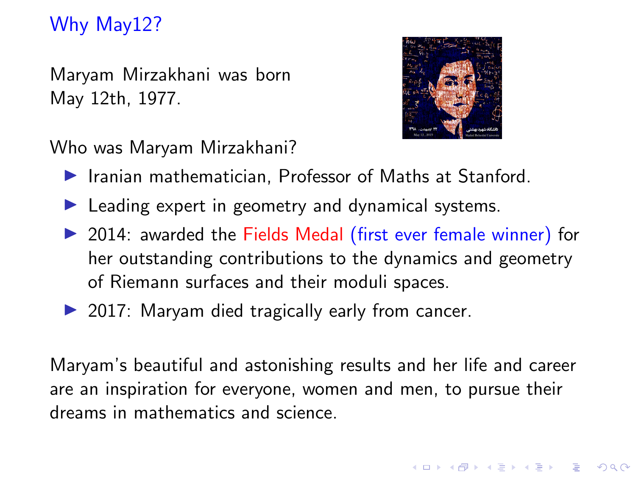# Why May12?

Maryam Mirzakhani was born May 12th, 1977.



Who was Maryam Mirzakhani?

- $\blacktriangleright$  Iranian mathematician, Professor of Maths at Stanford.
- $\blacktriangleright$  Leading expert in geometry and dynamical systems.
- ▶ 2014: awarded the Fields Medal (first ever female winner) for her outstanding contributions to the dynamics and geometry of Riemann surfaces and their moduli spaces.
- $\triangleright$  2017: Maryam died tragically early from cancer.

Maryam's beautiful and astonishing results and her life and career are an inspiration for everyone, women and men, to pursue their dreams in mathematics and science.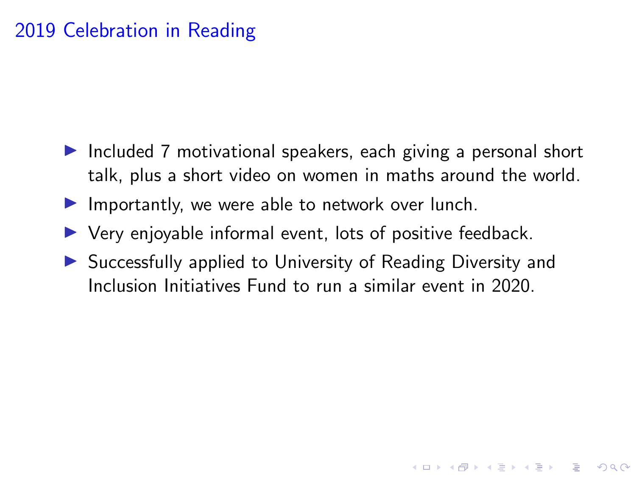### 2019 Celebration in Reading

- $\triangleright$  Included 7 motivational speakers, each giving a personal short talk, plus a short video on women in maths around the world.
- $\blacktriangleright$  Importantly, we were able to network over lunch.
- $\triangleright$  Very enjoyable informal event, lots of positive feedback.
- $\triangleright$  Successfully applied to University of Reading Diversity and Inclusion Initiatives Fund to run a similar event in 2020.

**KORKARYKERKER OQO**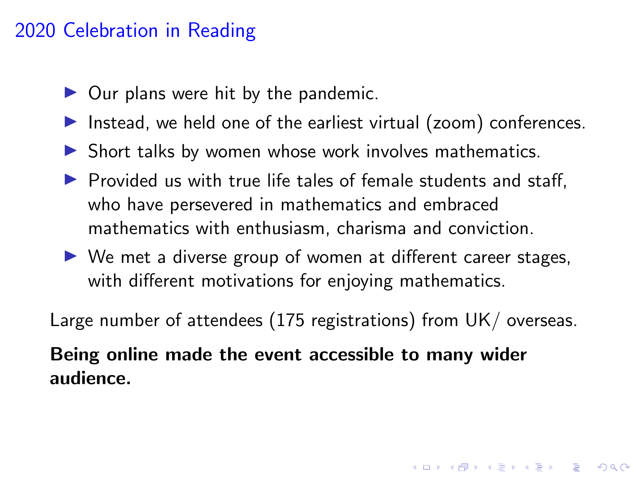#### 2020 Celebration in Reading

- $\triangleright$  Our plans were hit by the pandemic.
- Instead, we held one of the earliest virtual (zoom) conferences.
- $\triangleright$  Short talks by women whose work involves mathematics.
- $\triangleright$  Provided us with true life tales of female students and staff. who have persevered in mathematics and embraced mathematics with enthusiasm, charisma and conviction.
- $\triangleright$  We met a diverse group of women at different career stages, with different motivations for enjoying mathematics.

Large number of attendees (175 registrations) from UK/ overseas.

Being online made the event accessible to many wider audience.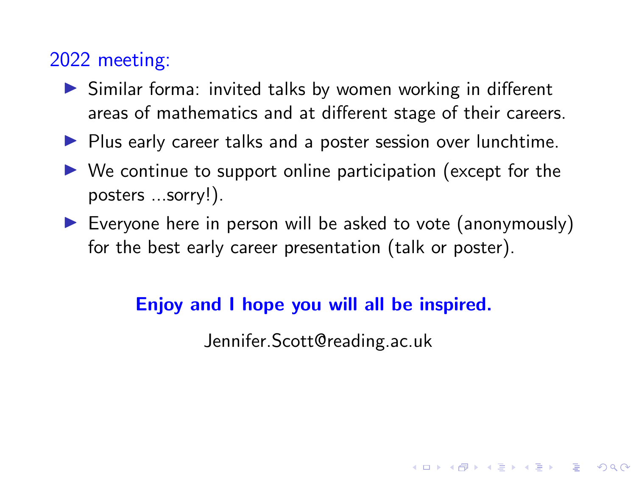### 2022 meeting:

- $\triangleright$  Similar forma: invited talks by women working in different areas of mathematics and at different stage of their careers.
- $\blacktriangleright$  Plus early career talks and a poster session over lunchtime.
- $\triangleright$  We continue to support online participation (except for the posters ...sorry!).
- $\triangleright$  Everyone here in person will be asked to vote (anonymously) for the best early career presentation (talk or poster).

#### Enjoy and I hope you will all be inspired.

Jennifer.Scott@reading.ac.uk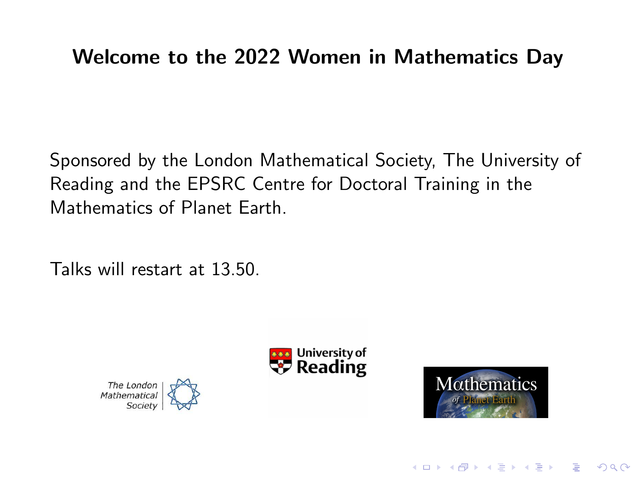## Welcome to the 2022 Women in Mathematics Day

Sponsored by the London Mathematical Society, The University of Reading and the EPSRC Centre for Doctoral Training in the Mathematics of Planet Earth.

Talks will restart at 13.50.







**KORK EXTERNE PROVIDE**